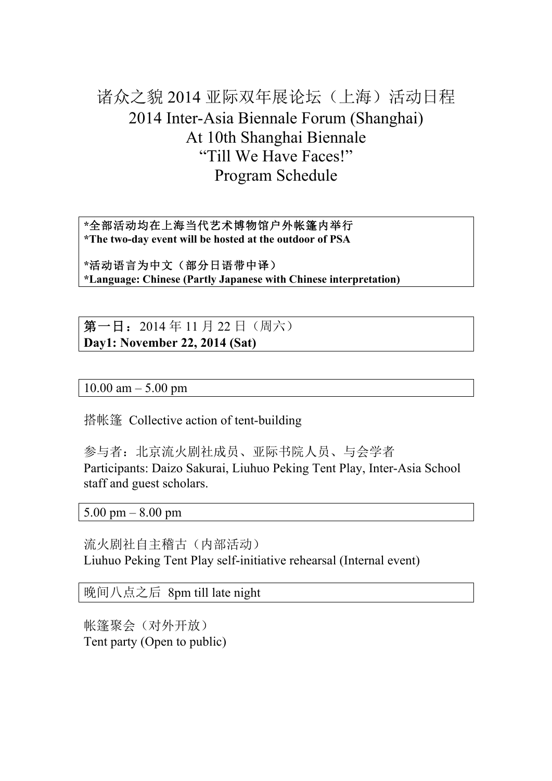# 诸众之貌 2014 亚际双年展论坛(上海)活动日程 2014 Inter-Asia Biennale Forum (Shanghai) At 10th Shanghai Biennale "Till We Have Faces!" Program Schedule

**\***全部活动均在上海当代艺术博物馆户外帐篷内举行 **\*The two-day event will be hosted at the outdoor of PSA**

**\***活动语言为中文(部分日语带中译) **\*Language: Chinese (Partly Japanese with Chinese interpretation)**

第一日: 2014年11月22日(周六) **Day1: November 22, 2014 (Sat)**

 $10.00$  am  $- 5.00$  pm

搭帐篷 Collective action of tent-building

参与者:北京流火剧社成员、亚际书院人员、与会学者 Participants: Daizo Sakurai, Liuhuo Peking Tent Play, Inter-Asia School staff and guest scholars.

5.00 pm – 8.00 pm

流火剧社自主稽古(内部活动) Liuhuo Peking Tent Play self-initiative rehearsal (Internal event)

晚间八点之后 8pm till late night

帐篷聚会(对外开放) Tent party (Open to public)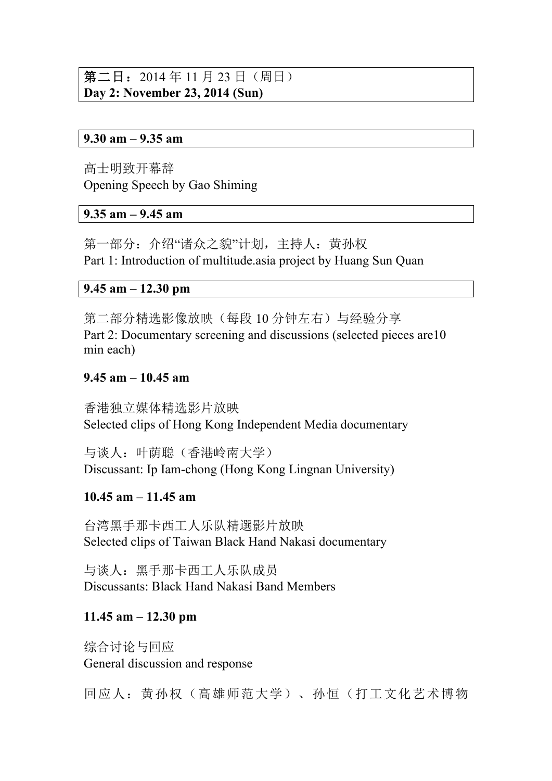## 第二日: 2014年11月23日(周日) **Day 2: November 23, 2014 (Sun)**

#### **9.30 am – 9.35 am**

高士明致开幕辞 Opening Speech by Gao Shiming

#### **9.35 am – 9.45 am**

第一部分:介绍"诸众之貌"计划,主持人:黄孙权 Part 1: Introduction of multitude.asia project by Huang Sun Quan

#### **9.45 am – 12.30 pm**

第二部分精选影像放映(每段 10 分钟左右)与经验分享 Part 2: Documentary screening and discussions (selected pieces are 10 min each)

#### **9.45 am – 10.45 am**

香港独立媒体精选影片放映 Selected clips of Hong Kong Independent Media documentary

与谈人:叶荫聪(香港岭南大学) Discussant: Ip Iam-chong (Hong Kong Lingnan University)

#### **10.45 am – 11.45 am**

台湾黑手那卡西工人乐队精選影片放映 Selected clips of Taiwan Black Hand Nakasi documentary

与谈人:黑手那卡西工人乐队成员 Discussants: Black Hand Nakasi Band Members

#### **11.45 am – 12.30 pm**

综合讨论与回应 General discussion and response

回应人:黄孙权(高雄师范大学)、孙恒(打工文化艺术博物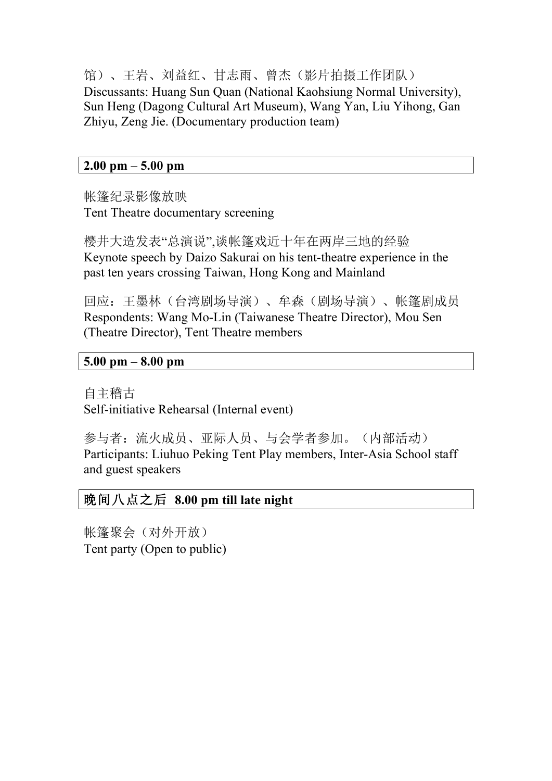馆)、王岩、刘益红、甘志雨、曾杰(影片拍摄工作团队) Discussants: Huang Sun Quan (National Kaohsiung Normal University), Sun Heng (Dagong Cultural Art Museum), Wang Yan, Liu Yihong, Gan Zhiyu, Zeng Jie. (Documentary production team)

#### **2.00 pm – 5.00 pm**

帐篷纪录影像放映 Tent Theatre documentary screening

樱井大造发表"总演说",谈帐篷戏近十年在两岸三地的经验 Keynote speech by Daizo Sakurai on his tent-theatre experience in the past ten years crossing Taiwan, Hong Kong and Mainland

回应:王墨林(台湾剧场导演)、牟森(剧场导演)、帐篷剧成员 Respondents: Wang Mo-Lin (Taiwanese Theatre Director), Mou Sen (Theatre Director), Tent Theatre members

#### **5.00 pm – 8.00 pm**

自主稽古 Self-initiative Rehearsal (Internal event)

参与者:流火成员、亚际人员、与会学者参加。(内部活动) Participants: Liuhuo Peking Tent Play members, Inter-Asia School staff and guest speakers

#### 晚间八点之后 **8.00 pm till late night**

帐篷聚会(对外开放) Tent party (Open to public)